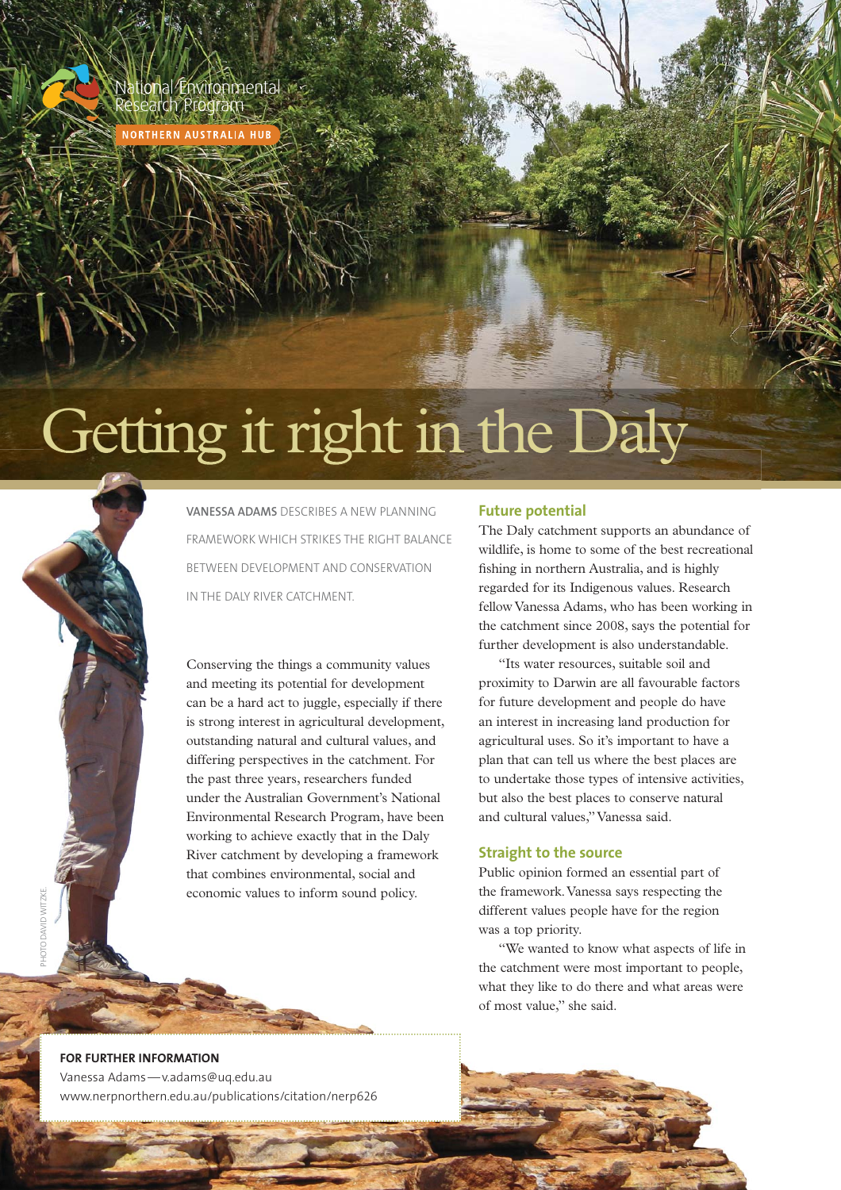National Environmental<br>Research Program

**NORTHERN AUSTRALIA H** 

# Getting it right in the Daly



**VANESSA ADAMS** DESCRIBES A NEW PLANNING FRAMEWORK WHICH STRIKES THE RIGHT BALANCE BETWEEN DEVELOPMENT AND CONSERVATION IN THE DALY RIVER CATCHMENT.

Conserving the things a community values and meeting its potential for development can be a hard act to juggle, especially if there is strong interest in agricultural development, outstanding natural and cultural values, and differing perspectives in the catchment. For the past three years, researchers funded under the Australian Government's National Environmental Research Program, have been working to achieve exactly that in the Daly River catchment by developing a framework that combines environmental, social and economic values to inform sound policy.

# **Future potential**

The Daly catchment supports an abundance of wildlife, is home to some of the best recreational fishing in northern Australia, and is highly regarded for its Indigenous values. Research fellow Vanessa Adams, who has been working in the catchment since 2008, says the potential for further development is also understandable.

"Its water resources, suitable soil and proximity to Darwin are all favourable factors for future development and people do have an interest in increasing land production for agricultural uses. So it's important to have a plan that can tell us where the best places are to undertake those types of intensive activities, but also the best places to conserve natural and cultural values," Vanessa said.

## **Straight to the source**

Public opinion formed an essential part of the framework. Vanessa says respecting the different values people have for the region was a top priority.

"We wanted to know what aspects of life in the catchment were most important to people, what they like to do there and what areas were of most value," she said.

# **FOR FURTHER INFORMATION**

Vanessa Adams — v.adams@uq.edu.au www.nerpnorthern.edu.au/publications/citation/nerp626